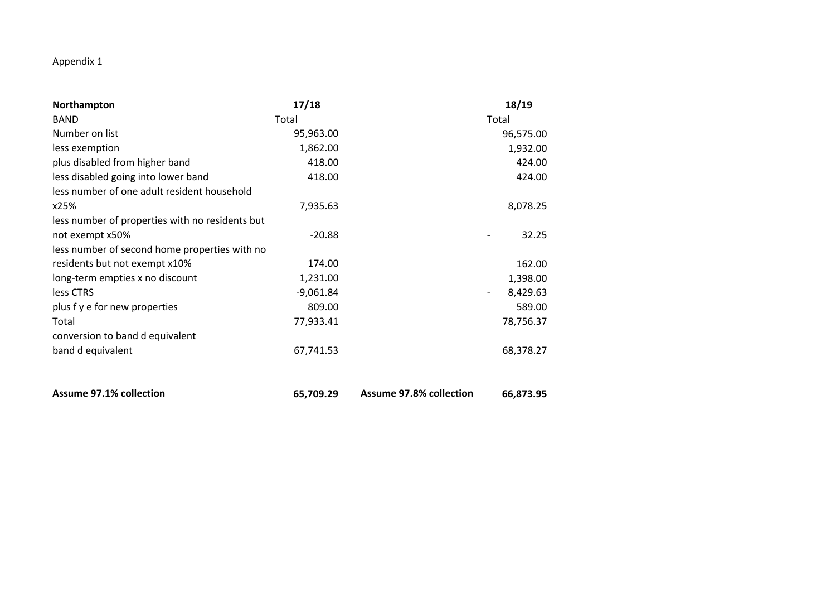## Appendix 1

| Northampton                                     | 17/18       |                                | 18/19                                |
|-------------------------------------------------|-------------|--------------------------------|--------------------------------------|
| <b>BAND</b>                                     | Total       |                                | Total                                |
| Number on list                                  | 95,963.00   |                                | 96,575.00                            |
| less exemption                                  | 1,862.00    |                                | 1,932.00                             |
| plus disabled from higher band                  | 418.00      |                                | 424.00                               |
| less disabled going into lower band             | 418.00      |                                | 424.00                               |
| less number of one adult resident household     |             |                                |                                      |
| x25%                                            | 7,935.63    |                                | 8,078.25                             |
| less number of properties with no residents but |             |                                |                                      |
| not exempt x50%                                 | $-20.88$    |                                | 32.25                                |
| less number of second home properties with no   |             |                                |                                      |
| residents but not exempt x10%                   | 174.00      |                                | 162.00                               |
| long-term empties x no discount                 | 1,231.00    |                                | 1,398.00                             |
| less CTRS                                       | $-9,061.84$ |                                | 8,429.63<br>$\overline{\phantom{a}}$ |
| plus f y e for new properties                   | 809.00      |                                | 589.00                               |
| Total                                           | 77,933.41   |                                | 78,756.37                            |
| conversion to band d equivalent                 |             |                                |                                      |
| band d equivalent                               | 67,741.53   |                                | 68,378.27                            |
|                                                 |             |                                |                                      |
| <b>Assume 97.1% collection</b>                  | 65,709.29   | <b>Assume 97.8% collection</b> | 66,873.95                            |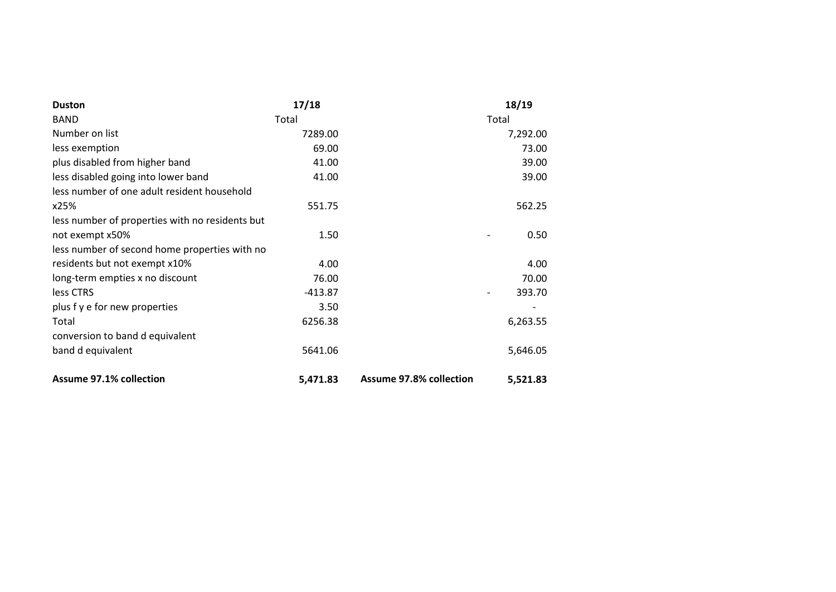| <b>Duston</b>                                   | 17/18     |                                | 18/19    |
|-------------------------------------------------|-----------|--------------------------------|----------|
| <b>BAND</b>                                     | Total     |                                | Total    |
| Number on list                                  | 7289.00   |                                | 7,292.00 |
| less exemption                                  | 69.00     |                                | 73.00    |
| plus disabled from higher band                  | 41.00     |                                | 39.00    |
| less disabled going into lower band             | 41.00     |                                | 39.00    |
| less number of one adult resident household     |           |                                |          |
| x25%                                            | 551.75    |                                | 562.25   |
| less number of properties with no residents but |           |                                |          |
| not exempt x50%                                 | 1.50      |                                | 0.50     |
| less number of second home properties with no   |           |                                |          |
| residents but not exempt x10%                   | 4.00      |                                | 4.00     |
| long-term empties x no discount                 | 76.00     |                                | 70.00    |
| less CTRS                                       | $-413.87$ |                                | 393.70   |
| plus f y e for new properties                   | 3.50      |                                |          |
| Total                                           | 6256.38   |                                | 6,263.55 |
| conversion to band d equivalent                 |           |                                |          |
| band d equivalent                               | 5641.06   |                                | 5,646.05 |
| <b>Assume 97.1% collection</b>                  | 5,471.83  | <b>Assume 97.8% collection</b> | 5,521.83 |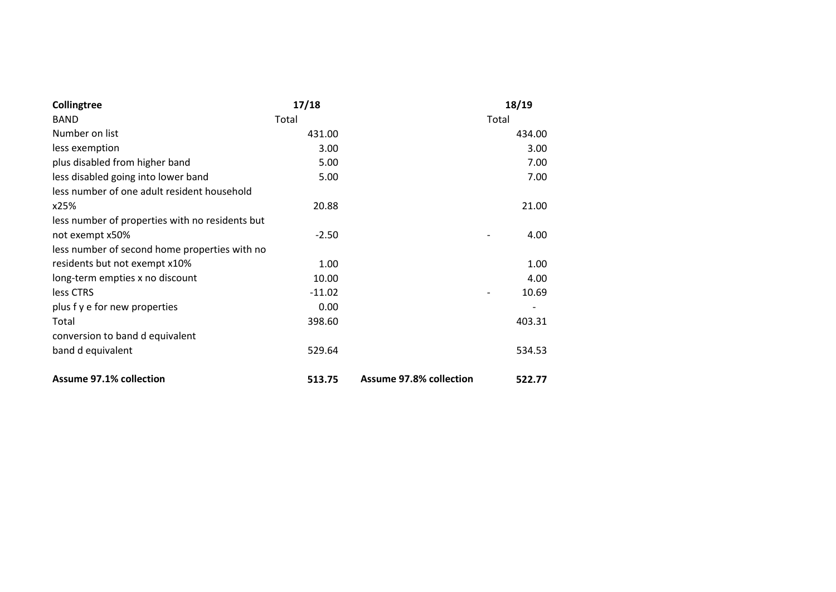| Collingtree                                     | 17/18    |                                | 18/19  |
|-------------------------------------------------|----------|--------------------------------|--------|
| <b>BAND</b>                                     | Total    |                                | Total  |
| Number on list                                  | 431.00   |                                | 434.00 |
| less exemption                                  | 3.00     |                                | 3.00   |
| plus disabled from higher band                  | 5.00     |                                | 7.00   |
| less disabled going into lower band             | 5.00     |                                | 7.00   |
| less number of one adult resident household     |          |                                |        |
| x25%                                            | 20.88    |                                | 21.00  |
| less number of properties with no residents but |          |                                |        |
| not exempt x50%                                 | $-2.50$  |                                | 4.00   |
| less number of second home properties with no   |          |                                |        |
| residents but not exempt x10%                   | 1.00     |                                | 1.00   |
| long-term empties x no discount                 | 10.00    |                                | 4.00   |
| less CTRS                                       | $-11.02$ |                                | 10.69  |
| plus f y e for new properties                   | 0.00     |                                |        |
| Total                                           | 398.60   |                                | 403.31 |
| conversion to band d equivalent                 |          |                                |        |
| band d equivalent                               | 529.64   |                                | 534.53 |
| <b>Assume 97.1% collection</b>                  | 513.75   | <b>Assume 97.8% collection</b> | 522.77 |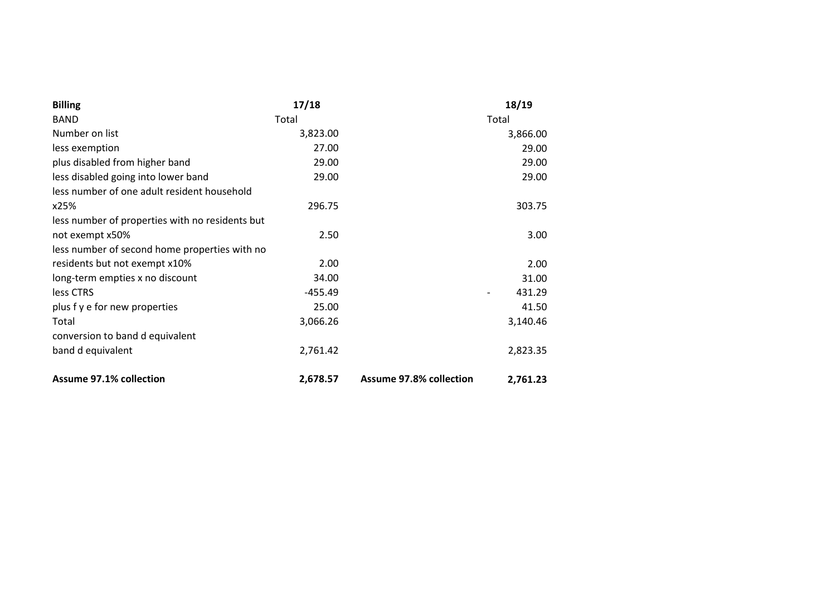| <b>Billing</b>                                  | 17/18     |                                | 18/19    |
|-------------------------------------------------|-----------|--------------------------------|----------|
| <b>BAND</b>                                     | Total     |                                | Total    |
| Number on list                                  | 3,823.00  |                                | 3,866.00 |
| less exemption                                  | 27.00     |                                | 29.00    |
| plus disabled from higher band                  | 29.00     |                                | 29.00    |
| less disabled going into lower band             | 29.00     |                                | 29.00    |
| less number of one adult resident household     |           |                                |          |
| x25%                                            | 296.75    |                                | 303.75   |
| less number of properties with no residents but |           |                                |          |
| not exempt x50%                                 | 2.50      |                                | 3.00     |
| less number of second home properties with no   |           |                                |          |
| residents but not exempt x10%                   | 2.00      |                                | 2.00     |
| long-term empties x no discount                 | 34.00     |                                | 31.00    |
| less CTRS                                       | $-455.49$ |                                | 431.29   |
| plus f y e for new properties                   | 25.00     |                                | 41.50    |
| Total                                           | 3,066.26  |                                | 3,140.46 |
| conversion to band d equivalent                 |           |                                |          |
| band d equivalent                               | 2,761.42  |                                | 2,823.35 |
| <b>Assume 97.1% collection</b>                  | 2,678.57  | <b>Assume 97.8% collection</b> | 2,761.23 |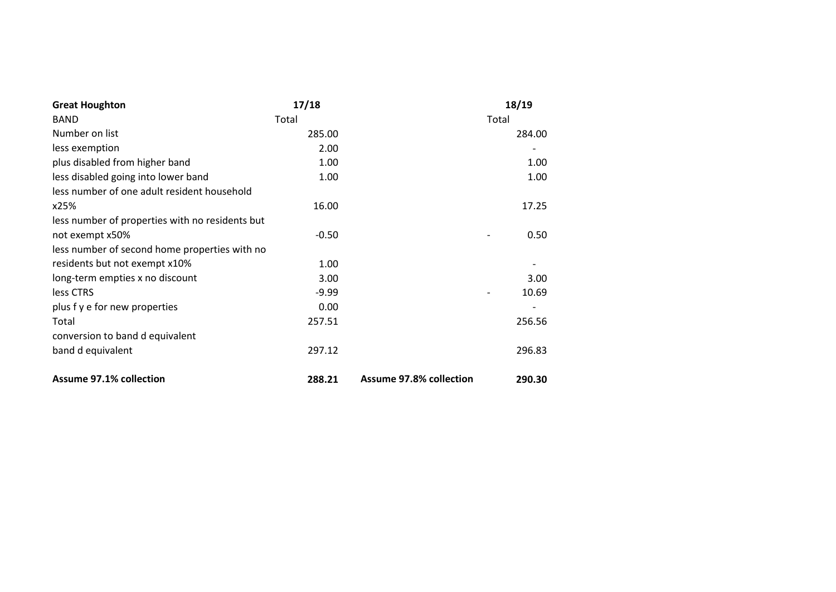| <b>Great Houghton</b>                           | 17/18   |                                | 18/19                             |
|-------------------------------------------------|---------|--------------------------------|-----------------------------------|
| <b>BAND</b>                                     | Total   |                                | Total                             |
| Number on list                                  | 285.00  |                                | 284.00                            |
| less exemption                                  | 2.00    |                                |                                   |
| plus disabled from higher band                  | 1.00    |                                | 1.00                              |
| less disabled going into lower band             | 1.00    |                                | 1.00                              |
| less number of one adult resident household     |         |                                |                                   |
| x25%                                            | 16.00   |                                | 17.25                             |
| less number of properties with no residents but |         |                                |                                   |
| not exempt x50%                                 | $-0.50$ |                                | 0.50                              |
| less number of second home properties with no   |         |                                |                                   |
| residents but not exempt x10%                   | 1.00    |                                |                                   |
| long-term empties x no discount                 | 3.00    |                                | 3.00                              |
| less CTRS                                       | $-9.99$ |                                | 10.69<br>$\overline{\phantom{0}}$ |
| plus f y e for new properties                   | 0.00    |                                |                                   |
| Total                                           | 257.51  |                                | 256.56                            |
| conversion to band d equivalent                 |         |                                |                                   |
| band d equivalent                               | 297.12  |                                | 296.83                            |
| <b>Assume 97.1% collection</b>                  | 288.21  | <b>Assume 97.8% collection</b> | 290.30                            |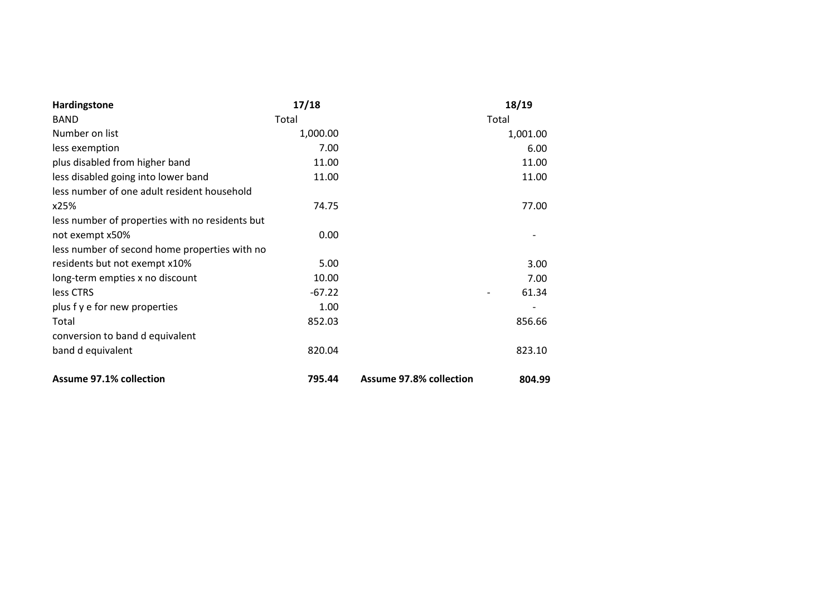| Hardingstone                                    | 17/18    |                                | 18/19    |
|-------------------------------------------------|----------|--------------------------------|----------|
| <b>BAND</b>                                     | Total    |                                | Total    |
| Number on list                                  | 1,000.00 |                                | 1,001.00 |
| less exemption                                  | 7.00     |                                | 6.00     |
| plus disabled from higher band                  | 11.00    |                                | 11.00    |
| less disabled going into lower band             | 11.00    |                                | 11.00    |
| less number of one adult resident household     |          |                                |          |
| x25%                                            | 74.75    |                                | 77.00    |
| less number of properties with no residents but |          |                                |          |
| not exempt x50%                                 | 0.00     |                                |          |
| less number of second home properties with no   |          |                                |          |
| residents but not exempt x10%                   | 5.00     |                                | 3.00     |
| long-term empties x no discount                 | 10.00    |                                | 7.00     |
| less CTRS                                       | $-67.22$ |                                | 61.34    |
| plus f y e for new properties                   | 1.00     |                                |          |
| Total                                           | 852.03   |                                | 856.66   |
| conversion to band d equivalent                 |          |                                |          |
| band d equivalent                               | 820.04   |                                | 823.10   |
| <b>Assume 97.1% collection</b>                  | 795.44   | <b>Assume 97.8% collection</b> | 804.99   |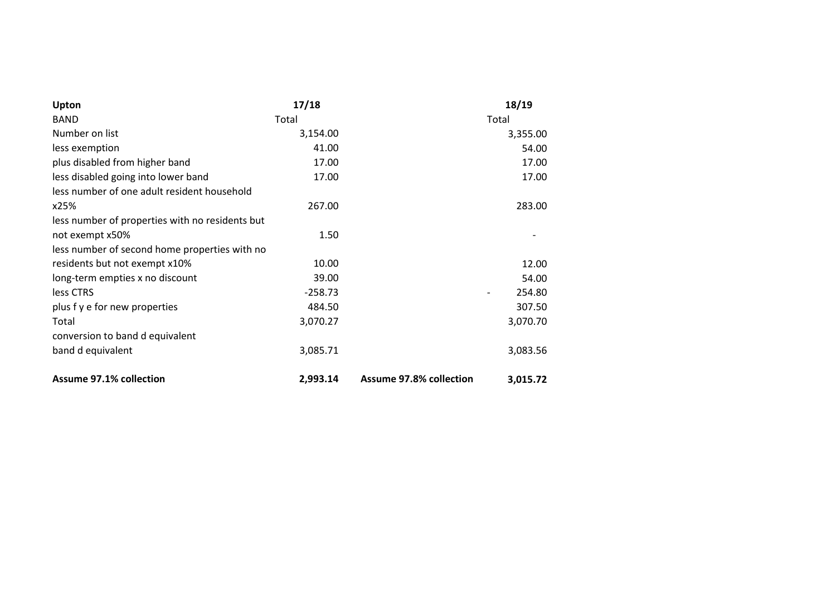| Upton                                           | 17/18     |                                | 18/19    |
|-------------------------------------------------|-----------|--------------------------------|----------|
| <b>BAND</b>                                     | Total     |                                | Total    |
| Number on list                                  | 3,154.00  |                                | 3,355.00 |
| less exemption                                  | 41.00     |                                | 54.00    |
| plus disabled from higher band                  | 17.00     |                                | 17.00    |
| less disabled going into lower band             | 17.00     |                                | 17.00    |
| less number of one adult resident household     |           |                                |          |
| x25%                                            | 267.00    |                                | 283.00   |
| less number of properties with no residents but |           |                                |          |
| not exempt x50%                                 | 1.50      |                                |          |
| less number of second home properties with no   |           |                                |          |
| residents but not exempt x10%                   | 10.00     |                                | 12.00    |
| long-term empties x no discount                 | 39.00     |                                | 54.00    |
| less CTRS                                       | $-258.73$ |                                | 254.80   |
| plus f y e for new properties                   | 484.50    |                                | 307.50   |
| Total                                           | 3,070.27  |                                | 3,070.70 |
| conversion to band d equivalent                 |           |                                |          |
| band d equivalent                               | 3,085.71  |                                | 3,083.56 |
| <b>Assume 97.1% collection</b>                  | 2,993.14  | <b>Assume 97.8% collection</b> | 3,015.72 |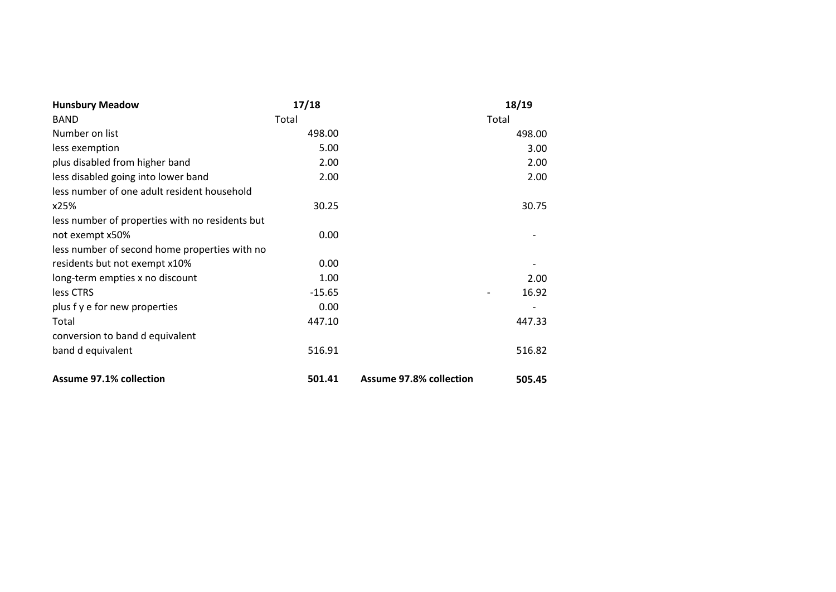| <b>Hunsbury Meadow</b>                          | 17/18    |                                | 18/19  |
|-------------------------------------------------|----------|--------------------------------|--------|
| <b>BAND</b>                                     | Total    |                                | Total  |
| Number on list                                  | 498.00   |                                | 498.00 |
| less exemption                                  | 5.00     |                                | 3.00   |
| plus disabled from higher band                  | 2.00     |                                | 2.00   |
| less disabled going into lower band             | 2.00     |                                | 2.00   |
| less number of one adult resident household     |          |                                |        |
| x25%                                            | 30.25    |                                | 30.75  |
| less number of properties with no residents but |          |                                |        |
| not exempt x50%                                 | 0.00     |                                |        |
| less number of second home properties with no   |          |                                |        |
| residents but not exempt x10%                   | 0.00     |                                |        |
| long-term empties x no discount                 | 1.00     |                                | 2.00   |
| less CTRS                                       | $-15.65$ |                                | 16.92  |
| plus f y e for new properties                   | 0.00     |                                |        |
| Total                                           | 447.10   |                                | 447.33 |
| conversion to band d equivalent                 |          |                                |        |
| band d equivalent                               | 516.91   |                                | 516.82 |
| <b>Assume 97.1% collection</b>                  | 501.41   | <b>Assume 97.8% collection</b> | 505.45 |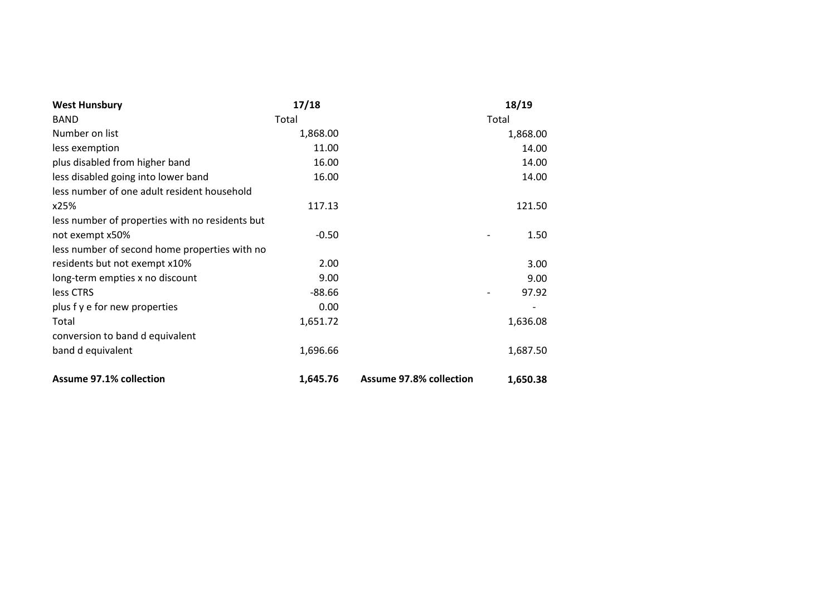| <b>West Hunsbury</b>                            | 17/18    |                                | 18/19    |
|-------------------------------------------------|----------|--------------------------------|----------|
| <b>BAND</b>                                     | Total    |                                | Total    |
| Number on list                                  | 1,868.00 |                                | 1,868.00 |
| less exemption                                  | 11.00    |                                | 14.00    |
| plus disabled from higher band                  | 16.00    |                                | 14.00    |
| less disabled going into lower band             | 16.00    |                                | 14.00    |
| less number of one adult resident household     |          |                                |          |
| x25%                                            | 117.13   |                                | 121.50   |
| less number of properties with no residents but |          |                                |          |
| not exempt x50%                                 | $-0.50$  |                                | 1.50     |
| less number of second home properties with no   |          |                                |          |
| residents but not exempt x10%                   | 2.00     |                                | 3.00     |
| long-term empties x no discount                 | 9.00     |                                | 9.00     |
| less CTRS                                       | $-88.66$ |                                | 97.92    |
| plus f y e for new properties                   | 0.00     |                                |          |
| Total                                           | 1,651.72 |                                | 1,636.08 |
| conversion to band d equivalent                 |          |                                |          |
| band d equivalent                               | 1,696.66 |                                | 1,687.50 |
| <b>Assume 97.1% collection</b>                  | 1,645.76 | <b>Assume 97.8% collection</b> | 1,650.38 |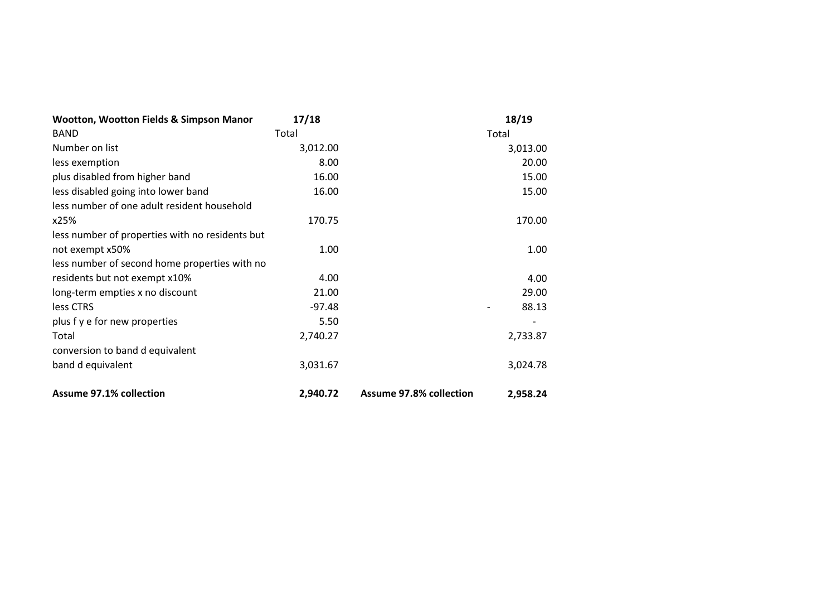| Wootton, Wootton Fields & Simpson Manor         | 17/18    |                                | 18/19    |
|-------------------------------------------------|----------|--------------------------------|----------|
| <b>BAND</b>                                     | Total    |                                | Total    |
| Number on list                                  | 3,012.00 |                                | 3,013.00 |
| less exemption                                  | 8.00     |                                | 20.00    |
| plus disabled from higher band                  | 16.00    |                                | 15.00    |
| less disabled going into lower band             | 16.00    |                                | 15.00    |
| less number of one adult resident household     |          |                                |          |
| x25%                                            | 170.75   |                                | 170.00   |
| less number of properties with no residents but |          |                                |          |
| not exempt x50%                                 | 1.00     |                                | 1.00     |
| less number of second home properties with no   |          |                                |          |
| residents but not exempt x10%                   | 4.00     |                                | 4.00     |
| long-term empties x no discount                 | 21.00    |                                | 29.00    |
| less CTRS                                       | $-97.48$ |                                | 88.13    |
| plus f y e for new properties                   | 5.50     |                                |          |
| Total                                           | 2,740.27 |                                | 2,733.87 |
| conversion to band d equivalent                 |          |                                |          |
| band d equivalent                               | 3,031.67 |                                | 3,024.78 |
| <b>Assume 97.1% collection</b>                  | 2,940.72 | <b>Assume 97.8% collection</b> | 2,958.24 |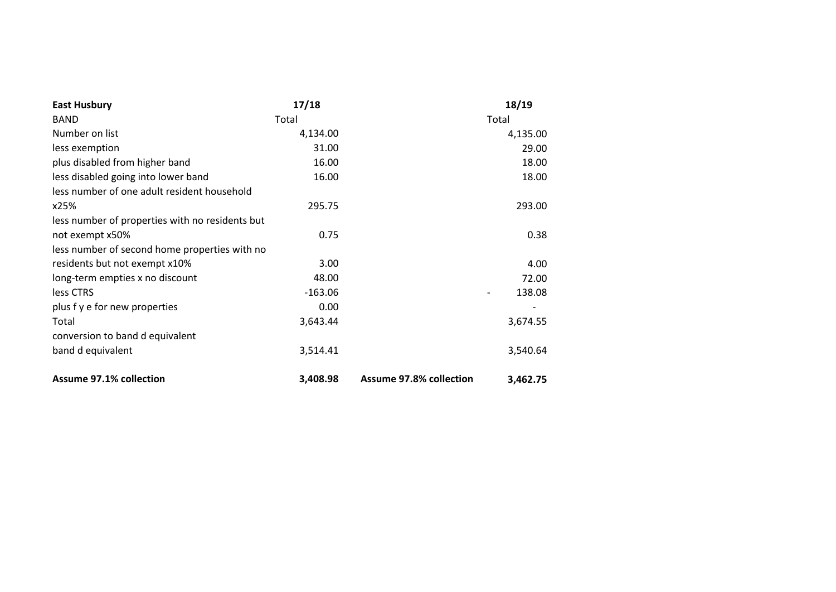| <b>East Husbury</b>                             | 17/18     |                                | 18/19    |
|-------------------------------------------------|-----------|--------------------------------|----------|
| <b>BAND</b>                                     | Total     |                                | Total    |
| Number on list                                  | 4,134.00  |                                | 4,135.00 |
| less exemption                                  | 31.00     |                                | 29.00    |
| plus disabled from higher band                  | 16.00     |                                | 18.00    |
| less disabled going into lower band             | 16.00     |                                | 18.00    |
| less number of one adult resident household     |           |                                |          |
| x25%                                            | 295.75    |                                | 293.00   |
| less number of properties with no residents but |           |                                |          |
| not exempt x50%                                 | 0.75      |                                | 0.38     |
| less number of second home properties with no   |           |                                |          |
| residents but not exempt x10%                   | 3.00      |                                | 4.00     |
| long-term empties x no discount                 | 48.00     |                                | 72.00    |
| less CTRS                                       | $-163.06$ |                                | 138.08   |
| plus f y e for new properties                   | 0.00      |                                |          |
| Total                                           | 3,643.44  |                                | 3,674.55 |
| conversion to band d equivalent                 |           |                                |          |
| band d equivalent                               | 3,514.41  |                                | 3,540.64 |
| <b>Assume 97.1% collection</b>                  | 3,408.98  | <b>Assume 97.8% collection</b> | 3,462.75 |